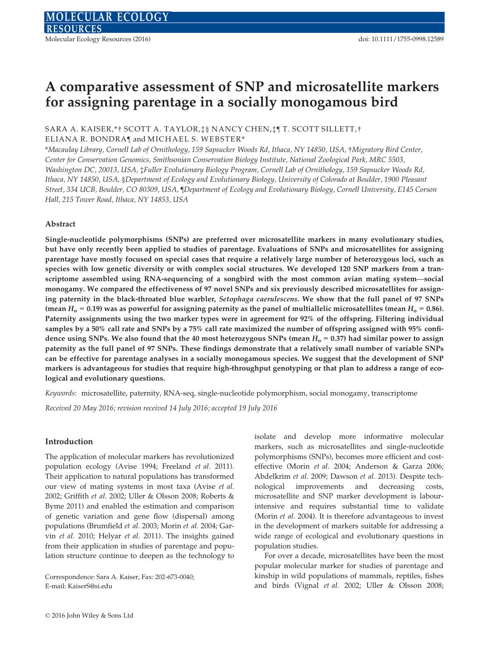# A comparative assessment of SNP and microsatellite markers for assigning parentage in a socially monogamous bird

## SARA A. KAISER,\*† SCOTT A. TAYLOR,‡§ NANCY CHEN,‡¶ T. SCOTT SILLETT,† ELIANA R. BONDRA¶ and MICHAEL S. WEBSTER\*

\*Macaulay Library, Cornell Lab of Ornithology, 159 Sapsucker Woods Rd, Ithaca, NY 14850, USA, †Migratory Bird Center, Center for Conservation Genomics, Smithsonian Conservation Biology Institute, National Zoological Park, MRC 5503, Washington DC, 20013, USA, ‡Fuller Evolutionary Biology Program, Cornell Lab of Ornithology, 159 Sapsucker Woods Rd, Ithaca, NY 14850, USA, §Department of Ecology and Evolutionary Biology, University of Colorado at Boulder, 1900 Pleasant Street, 334 UCB, Boulder, CO 80309, USA, ¶Department of Ecology and Evolutionary Biology, Cornell University, E145 Corson Hall, 215 Tower Road, Ithaca, NY 14853, USA

## Abstract

Single-nucleotide polymorphisms (SNPs) are preferred over microsatellite markers in many evolutionary studies, but have only recently been applied to studies of parentage. Evaluations of SNPs and microsatellites for assigning parentage have mostly focused on special cases that require a relatively large number of heterozygous loci, such as species with low genetic diversity or with complex social structures. We developed 120 SNP markers from a transcriptome assembled using RNA-sequencing of a songbird with the most common avian mating system—social monogamy. We compared the effectiveness of 97 novel SNPs and six previously described microsatellites for assigning paternity in the black-throated blue warbler, Setophaga caerulescens. We show that the full panel of 97 SNPs (mean  $H_0$  = 0.19) was as powerful for assigning paternity as the panel of multiallelic microsatellites (mean  $H_0$  = 0.86). Paternity assignments using the two marker types were in agreement for 92% of the offspring. Filtering individual samples by a 50% call rate and SNPs by a 75% call rate maximized the number of offspring assigned with 95% confidence using SNPs. We also found that the 40 most heterozygous SNPs (mean  $H_0 = 0.37$ ) had similar power to assign paternity as the full panel of 97 SNPs. These findings demonstrate that a relatively small number of variable SNPs can be effective for parentage analyses in a socially monogamous species. We suggest that the development of SNP markers is advantageous for studies that require high-throughput genotyping or that plan to address a range of ecological and evolutionary questions.

Keywords: microsatellite, paternity, RNA-seq, single-nucleotide polymorphism, social monogamy, transcriptome

Received 20 May 2016; revision received 14 July 2016; accepted 19 July 2016

#### Introduction

The application of molecular markers has revolutionized population ecology (Avise 1994; Freeland et al. 2011). Their application to natural populations has transformed our view of mating systems in most taxa (Avise et al. 2002; Griffith et al. 2002; Uller & Olsson 2008; Roberts & Byme 2011) and enabled the estimation and comparison of genetic variation and gene flow (dispersal) among populations (Brumfield et al. 2003; Morin et al. 2004; Garvin et al. 2010; Helyar et al. 2011). The insights gained from their application in studies of parentage and population structure continue to deepen as the technology to

Correspondence: Sara A. Kaiser, Fax: 202-673-0040; E-mail: KaiserS@si.edu

isolate and develop more informative molecular markers, such as microsatellites and single-nucleotide polymorphisms (SNPs), becomes more efficient and costeffective (Morin et al. 2004; Anderson & Garza 2006; Abdelkrim et al. 2009; Dawson et al. 2013). Despite technological improvements and decreasing costs, microsatellite and SNP marker development is labourintensive and requires substantial time to validate (Morin et al. 2004). It is therefore advantageous to invest in the development of markers suitable for addressing a wide range of ecological and evolutionary questions in population studies.

For over a decade, microsatellites have been the most popular molecular marker for studies of parentage and kinship in wild populations of mammals, reptiles, fishes and birds (Vignal et al. 2002; Uller & Olsson 2008;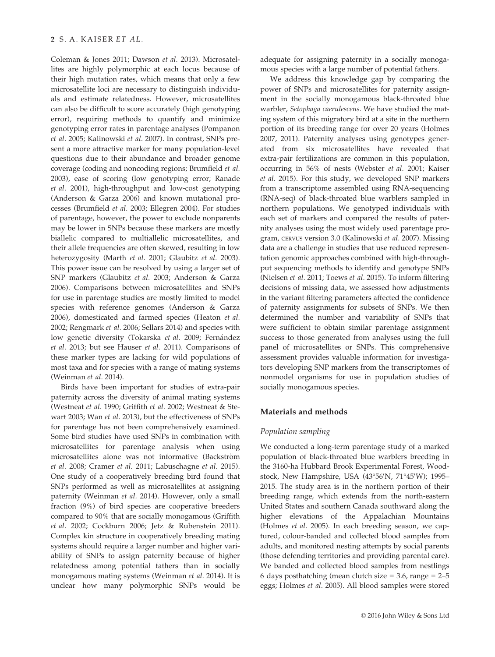#### 2 S. A. KAISER ET AL.

Coleman & Jones 2011; Dawson et al. 2013). Microsatellites are highly polymorphic at each locus because of their high mutation rates, which means that only a few microsatellite loci are necessary to distinguish individuals and estimate relatedness. However, microsatellites can also be difficult to score accurately (high genotyping error), requiring methods to quantify and minimize genotyping error rates in parentage analyses (Pompanon et al. 2005; Kalinowski et al. 2007). In contrast, SNPs present a more attractive marker for many population-level questions due to their abundance and broader genome coverage (coding and noncoding regions; Brumfield et al. 2003), ease of scoring (low genotyping error; Ranade et al. 2001), high-throughput and low-cost genotyping (Anderson & Garza 2006) and known mutational processes (Brumfield et al. 2003; Ellegren 2004). For studies of parentage, however, the power to exclude nonparents may be lower in SNPs because these markers are mostly biallelic compared to multiallelic microsatellites, and their allele frequencies are often skewed, resulting in low heterozygosity (Marth et al. 2001; Glaubitz et al. 2003). This power issue can be resolved by using a larger set of SNP markers (Glaubitz et al. 2003; Anderson & Garza 2006). Comparisons between microsatellites and SNPs for use in parentage studies are mostly limited to model species with reference genomes (Anderson & Garza 2006), domesticated and farmed species (Heaton et al. 2002; Rengmark et al. 2006; Sellars 2014) and species with low genetic diversity (Tokarska et al. 2009; Fernández et al. 2013; but see Hauser et al. 2011). Comparisons of these marker types are lacking for wild populations of most taxa and for species with a range of mating systems (Weinman et al. 2014).

Birds have been important for studies of extra-pair paternity across the diversity of animal mating systems (Westneat et al. 1990; Griffith et al. 2002; Westneat & Stewart 2003; Wan et al. 2013), but the effectiveness of SNPs for parentage has not been comprehensively examined. Some bird studies have used SNPs in combination with microsatellites for parentage analysis when using microsatellites alone was not informative (Backström et al. 2008; Cramer et al. 2011; Labuschagne et al. 2015). One study of a cooperatively breeding bird found that SNPs performed as well as microsatellites at assigning paternity (Weinman et al. 2014). However, only a small fraction (9%) of bird species are cooperative breeders compared to 90% that are socially monogamous (Griffith et al. 2002; Cockburn 2006; Jetz & Rubenstein 2011). Complex kin structure in cooperatively breeding mating systems should require a larger number and higher variability of SNPs to assign paternity because of higher relatedness among potential fathers than in socially monogamous mating systems (Weinman et al. 2014). It is unclear how many polymorphic SNPs would be adequate for assigning paternity in a socially monogamous species with a large number of potential fathers.

We address this knowledge gap by comparing the power of SNPs and microsatellites for paternity assignment in the socially monogamous black-throated blue warbler, Setophaga caerulescens. We have studied the mating system of this migratory bird at a site in the northern portion of its breeding range for over 20 years (Holmes 2007, 2011). Paternity analyses using genotypes generated from six microsatellites have revealed that extra-pair fertilizations are common in this population, occurring in 56% of nests (Webster et al. 2001; Kaiser et al. 2015). For this study, we developed SNP markers from a transcriptome assembled using RNA-sequencing (RNA-seq) of black-throated blue warblers sampled in northern populations. We genotyped individuals with each set of markers and compared the results of paternity analyses using the most widely used parentage program, CERVUS version 3.0 (Kalinowski et al. 2007). Missing data are a challenge in studies that use reduced representation genomic approaches combined with high-throughput sequencing methods to identify and genotype SNPs (Nielsen et al. 2011; Toews et al. 2015). To inform filtering decisions of missing data, we assessed how adjustments in the variant filtering parameters affected the confidence of paternity assignments for subsets of SNPs. We then determined the number and variability of SNPs that were sufficient to obtain similar parentage assignment success to those generated from analyses using the full panel of microsatellites or SNPs. This comprehensive assessment provides valuable information for investigators developing SNP markers from the transcriptomes of nonmodel organisms for use in population studies of socially monogamous species.

### Materials and methods

#### Population sampling

We conducted a long-term parentage study of a marked population of black-throated blue warblers breeding in the 3160-ha Hubbard Brook Experimental Forest, Woodstock, New Hampshire, USA (43°56'N, 71°45'W); 1995– 2015. The study area is in the northern portion of their breeding range, which extends from the north-eastern United States and southern Canada southward along the higher elevations of the Appalachian Mountains (Holmes et al. 2005). In each breeding season, we captured, colour-banded and collected blood samples from adults, and monitored nesting attempts by social parents (those defending territories and providing parental care). We banded and collected blood samples from nestlings 6 days posthatching (mean clutch size  $= 3.6$ , range  $= 2-5$ eggs; Holmes et al. 2005). All blood samples were stored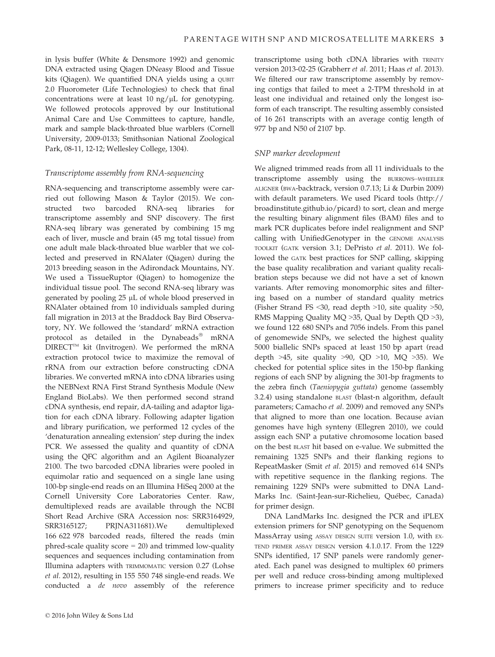transcriptome using both cDNA libraries with TRINITY version 2013-02-25 (Grabherr et al. 2011; Haas et al. 2013). We filtered our raw transcriptome assembly by remov-

in lysis buffer (White & Densmore 1992) and genomic DNA extracted using Qiagen DNeasy Blood and Tissue kits (Qiagen). We quantified DNA yields using a QUBIT 2.0 Fluorometer (Life Technologies) to check that final concentrations were at least 10 ng/ $\mu$ L for genotyping. We followed protocols approved by our Institutional Animal Care and Use Committees to capture, handle, mark and sample black-throated blue warblers (Cornell University, 2009-0133; Smithsonian National Zoological Park, 08-11, 12-12; Wellesley College, 1304).

## Transcriptome assembly from RNA-sequencing

RNA-sequencing and transcriptome assembly were carried out following Mason & Taylor (2015). We constructed two barcoded RNA-seq libraries for transcriptome assembly and SNP discovery. The first RNA-seq library was generated by combining 15 mg each of liver, muscle and brain (45 mg total tissue) from one adult male black-throated blue warbler that we collected and preserved in RNAlater (Qiagen) during the 2013 breeding season in the Adirondack Mountains, NY. We used a TissueRuptor (Qiagen) to homogenize the individual tissue pool. The second RNA-seq library was generated by pooling 25 µL of whole blood preserved in RNAlater obtained from 10 individuals sampled during fall migration in 2013 at the Braddock Bay Bird Observatory, NY. We followed the 'standard' mRNA extraction protocol as detailed in the Dynabeads<sup>®</sup> mRNA  $DIRECT^{TM}$  kit (Invitrogen). We performed the mRNA extraction protocol twice to maximize the removal of rRNA from our extraction before constructing cDNA libraries. We converted mRNA into cDNA libraries using the NEBNext RNA First Strand Synthesis Module (New England BioLabs). We then performed second strand cDNA synthesis, end repair, dA-tailing and adaptor ligation for each cDNA library. Following adapter ligation and library purification, we performed 12 cycles of the 'denaturation annealing extension' step during the index PCR. We assessed the quality and quantity of cDNA using the QFC algorithm and an Agilent Bioanalyzer 2100. The two barcoded cDNA libraries were pooled in equimolar ratio and sequenced on a single lane using 100-bp single-end reads on an Illumina HiSeq 2000 at the Cornell University Core Laboratories Center. Raw, demultiplexed reads are available through the NCBI Short Read Archive (SRA Accession nos: [SRR3164929,](http://www.ncbi.nlm.nih.gov/nuccore/SRR3164929) [SRR3165127](http://www.ncbi.nlm.nih.gov/nuccore/SRR3165127); [PRJNA311681\)](http://www.ncbi.nlm.nih.gov/nuccore/PRJNA311681).We demultiplexed 166 622 978 barcoded reads, filtered the reads (min phred-scale quality score  $= 20$ ) and trimmed low-quality sequences and sequences including contamination from Illumina adapters with TRIMMOMATIC version 0.27 (Lohse et al. 2012), resulting in 155 550 748 single-end reads. We conducted a de novo assembly of the reference

ing contigs that failed to meet a 2-TPM threshold in at least one individual and retained only the longest isoform of each transcript. The resulting assembly consisted of 16 261 transcripts with an average contig length of 977 bp and N50 of 2107 bp. SNP marker development

> We aligned trimmed reads from all 11 individuals to the transcriptome assembly using the BURROWS–WHEELER ALIGNER (BWA-backtrack, version 0.7.13; Li & Durbin 2009) with default parameters. We used Picard tools ([http://](http://broadinstitute.github.io/picard) [broadinstitute.github.io/picard](http://broadinstitute.github.io/picard)) to sort, clean and merge the resulting binary alignment files (BAM) files and to mark PCR duplicates before indel realignment and SNP calling with UnifiedGenotyper in the GENOME ANALYSIS TOOLKIT (GATK version 3.1; DePristo et al. 2011). We followed the GATK best practices for SNP calling, skipping the base quality recalibration and variant quality recalibration steps because we did not have a set of known variants. After removing monomorphic sites and filtering based on a number of standard quality metrics (Fisher Strand FS <30, read depth >10, site quality >50, RMS Mapping Quality MQ >35, Qual by Depth QD >3), we found 122 680 SNPs and 7056 indels. From this panel of genomewide SNPs, we selected the highest quality 5000 biallelic SNPs spaced at least 150 bp apart (read depth  $>45$ , site quality  $>90$ , QD  $>10$ , MQ  $>35$ ). We checked for potential splice sites in the 150-bp flanking regions of each SNP by aligning the 301-bp fragments to the zebra finch (Taeniopygia guttata) genome (assembly 3.2.4) using standalone BLAST (blast-n algorithm, default parameters; Camacho et al. 2009) and removed any SNPs that aligned to more than one location. Because avian genomes have high synteny (Ellegren 2010), we could assign each SNP a putative chromosome location based on the best BLAST hit based on e-value. We submitted the remaining 1325 SNPs and their flanking regions to RepeatMasker (Smit et al. 2015) and removed 614 SNPs with repetitive sequence in the flanking regions. The remaining 1229 SNPs were submitted to DNA Land-Marks Inc. (Saint-Jean-sur-Richelieu, Quebec, Canada) for primer design.

> DNA LandMarks Inc. designed the PCR and iPLEX extension primers for SNP genotyping on the Sequenom MassArray using ASSAY DESIGN SUITE version 1.0, with EX-TEND PRIMER ASSAY DESIGN version 4.1.0.17. From the 1229 SNPs identified, 17 SNP panels were randomly generated. Each panel was designed to multiplex 60 primers per well and reduce cross-binding among multiplexed primers to increase primer specificity and to reduce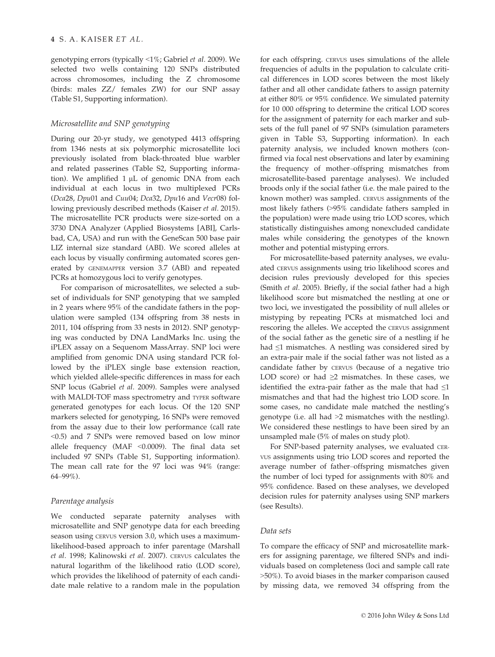genotyping errors (typically <1%; Gabriel et al. 2009). We selected two wells containing 120 SNPs distributed across chromosomes, including the Z chromosome (birds: males ZZ/ females ZW) for our SNP assay (Table S1, Supporting information).

## Microsatellite and SNP genotyping

During our 20-yr study, we genotyped 4413 offspring from 1346 nests at six polymorphic microsatellite loci previously isolated from black-throated blue warbler and related passerines (Table S2, Supporting information). We amplified  $1 \mu L$  of genomic DNA from each individual at each locus in two multiplexed PCRs (Dca28, Dpu01 and Cuu04; Dca32, Dpu16 and Vecr08) following previously described methods (Kaiser et al. 2015). The microsatellite PCR products were size-sorted on a 3730 DNA Analyzer (Applied Biosystems [ABI], Carlsbad, CA, USA) and run with the GeneScan 500 base pair LIZ internal size standard (ABI). We scored alleles at each locus by visually confirming automated scores generated by GENEMAPPER version 3.7 (ABI) and repeated PCRs at homozygous loci to verify genotypes.

For comparison of microsatellites, we selected a subset of individuals for SNP genotyping that we sampled in 2 years where 95% of the candidate fathers in the population were sampled (134 offspring from 38 nests in 2011, 104 offspring from 33 nests in 2012). SNP genotyping was conducted by DNA LandMarks Inc. using the iPLEX assay on a Sequenom MassArray. SNP loci were amplified from genomic DNA using standard PCR followed by the iPLEX single base extension reaction, which yielded allele-specific differences in mass for each SNP locus (Gabriel et al. 2009). Samples were analysed with MALDI-TOF mass spectrometry and TYPER software generated genotypes for each locus. Of the 120 SNP markers selected for genotyping, 16 SNPs were removed from the assay due to their low performance (call rate <0.5) and 7 SNPs were removed based on low minor allele frequency (MAF <0.0009). The final data set included 97 SNPs (Table S1, Supporting information). The mean call rate for the 97 loci was 94% (range: 64–99%).

# Parentage analysis

We conducted separate paternity analyses with microsatellite and SNP genotype data for each breeding season using CERVUS version 3.0, which uses a maximumlikelihood-based approach to infer parentage (Marshall et al. 1998; Kalinowski et al. 2007). CERVUS calculates the natural logarithm of the likelihood ratio (LOD score), which provides the likelihood of paternity of each candidate male relative to a random male in the population for each offspring. CERVUS uses simulations of the allele frequencies of adults in the population to calculate critical differences in LOD scores between the most likely father and all other candidate fathers to assign paternity at either 80% or 95% confidence. We simulated paternity for 10 000 offspring to determine the critical LOD scores for the assignment of paternity for each marker and subsets of the full panel of 97 SNPs (simulation parameters given in Table S3, Supporting information). In each paternity analysis, we included known mothers (confirmed via focal nest observations and later by examining the frequency of mother–offspring mismatches from microsatellite-based parentage analyses). We included broods only if the social father (i.e. the male paired to the known mother) was sampled. CERVUS assignments of the most likely fathers (>95% candidate fathers sampled in the population) were made using trio LOD scores, which statistically distinguishes among nonexcluded candidate males while considering the genotypes of the known mother and potential mistyping errors.

For microsatellite-based paternity analyses, we evaluated CERVUS assignments using trio likelihood scores and decision rules previously developed for this species (Smith et al. 2005). Briefly, if the social father had a high likelihood score but mismatched the nestling at one or two loci, we investigated the possibility of null alleles or mistyping by repeating PCRs at mismatched loci and rescoring the alleles. We accepted the CERVUS assignment of the social father as the genetic sire of a nestling if he had ≤1 mismatches. A nestling was considered sired by an extra-pair male if the social father was not listed as a candidate father by CERVUS (because of a negative trio LOD score) or had  $\geq 2$  mismatches. In these cases, we identified the extra-pair father as the male that had  $\leq 1$ mismatches and that had the highest trio LOD score. In some cases, no candidate male matched the nestling's genotype (i.e. all had >2 mismatches with the nestling). We considered these nestlings to have been sired by an unsampled male (5% of males on study plot).

For SNP-based paternity analyses, we evaluated CER-VUS assignments using trio LOD scores and reported the average number of father–offspring mismatches given the number of loci typed for assignments with 80% and 95% confidence. Based on these analyses, we developed decision rules for paternity analyses using SNP markers (see Results).

## Data sets

To compare the efficacy of SNP and microsatellite markers for assigning parentage, we filtered SNPs and individuals based on completeness (loci and sample call rate >50%). To avoid biases in the marker comparison caused by missing data, we removed 34 offspring from the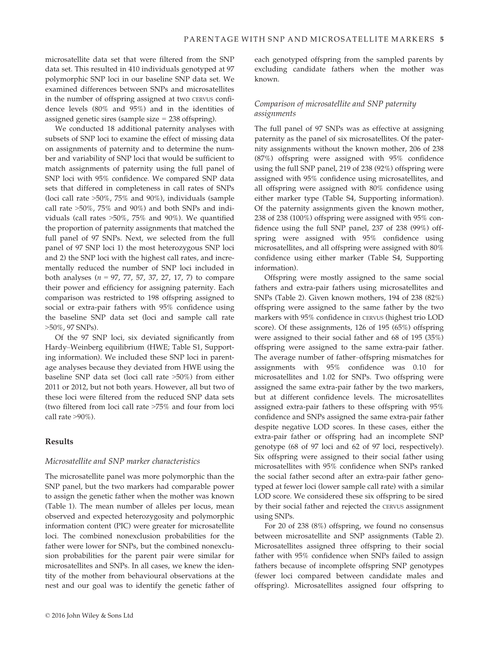microsatellite data set that were filtered from the SNP data set. This resulted in 410 individuals genotyped at 97 polymorphic SNP loci in our baseline SNP data set. We examined differences between SNPs and microsatellites in the number of offspring assigned at two CERVUS confidence levels (80% and 95%) and in the identities of assigned genetic sires (sample size = 238 offspring).

We conducted 18 additional paternity analyses with subsets of SNP loci to examine the effect of missing data on assignments of paternity and to determine the number and variability of SNP loci that would be sufficient to match assignments of paternity using the full panel of SNP loci with 95% confidence. We compared SNP data sets that differed in completeness in call rates of SNPs (loci call rate >50%, 75% and 90%), individuals (sample call rate >50%, 75% and 90%) and both SNPs and individuals (call rates >50%, 75% and 90%). We quantified the proportion of paternity assignments that matched the full panel of 97 SNPs. Next, we selected from the full panel of 97 SNP loci 1) the most heterozygous SNP loci and 2) the SNP loci with the highest call rates, and incrementally reduced the number of SNP loci included in both analyses ( $n = 97, 77, 57, 37, 27, 17, 7$ ) to compare their power and efficiency for assigning paternity. Each comparison was restricted to 198 offspring assigned to social or extra-pair fathers with 95% confidence using the baseline SNP data set (loci and sample call rate >50%, 97 SNPs).

Of the 97 SNP loci, six deviated significantly from Hardy–Weinberg equilibrium (HWE; Table S1, Supporting information). We included these SNP loci in parentage analyses because they deviated from HWE using the baseline SNP data set (loci call rate >50%) from either 2011 or 2012, but not both years. However, all but two of these loci were filtered from the reduced SNP data sets (two filtered from loci call rate >75% and four from loci call rate >90%).

## Results

## Microsatellite and SNP marker characteristics

The microsatellite panel was more polymorphic than the SNP panel, but the two markers had comparable power to assign the genetic father when the mother was known (Table 1). The mean number of alleles per locus, mean observed and expected heterozygosity and polymorphic information content (PIC) were greater for microsatellite loci. The combined nonexclusion probabilities for the father were lower for SNPs, but the combined nonexclusion probabilities for the parent pair were similar for microsatellites and SNPs. In all cases, we knew the identity of the mother from behavioural observations at the nest and our goal was to identify the genetic father of

each genotyped offspring from the sampled parents by excluding candidate fathers when the mother was known.

## Comparison of microsatellite and SNP paternity assignments

The full panel of 97 SNPs was as effective at assigning paternity as the panel of six microsatellites. Of the paternity assignments without the known mother, 206 of 238 (87%) offspring were assigned with 95% confidence using the full SNP panel, 219 of 238 (92%) offspring were assigned with 95% confidence using microsatellites, and all offspring were assigned with 80% confidence using either marker type (Table S4, Supporting information). Of the paternity assignments given the known mother, 238 of 238 (100%) offspring were assigned with 95% confidence using the full SNP panel, 237 of 238 (99%) offspring were assigned with 95% confidence using microsatellites, and all offspring were assigned with 80% confidence using either marker (Table S4, Supporting information).

Offspring were mostly assigned to the same social fathers and extra-pair fathers using microsatellites and SNPs (Table 2). Given known mothers, 194 of 238 (82%) offspring were assigned to the same father by the two markers with 95% confidence in CERVUS (highest trio LOD score). Of these assignments, 126 of 195 (65%) offspring were assigned to their social father and 68 of 195 (35%) offspring were assigned to the same extra-pair father. The average number of father–offspring mismatches for assignments with 95% confidence was 0.10 for microsatellites and 1.02 for SNPs. Two offspring were assigned the same extra-pair father by the two markers, but at different confidence levels. The microsatellites assigned extra-pair fathers to these offspring with 95% confidence and SNPs assigned the same extra-pair father despite negative LOD scores. In these cases, either the extra-pair father or offspring had an incomplete SNP genotype (68 of 97 loci and 62 of 97 loci, respectively). Six offspring were assigned to their social father using microsatellites with 95% confidence when SNPs ranked the social father second after an extra-pair father genotyped at fewer loci (lower sample call rate) with a similar LOD score. We considered these six offspring to be sired by their social father and rejected the CERVUS assignment using SNPs.

For 20 of 238 (8%) offspring, we found no consensus between microsatellite and SNP assignments (Table 2). Microsatellites assigned three offspring to their social father with 95% confidence when SNPs failed to assign fathers because of incomplete offspring SNP genotypes (fewer loci compared between candidate males and offspring). Microsatellites assigned four offspring to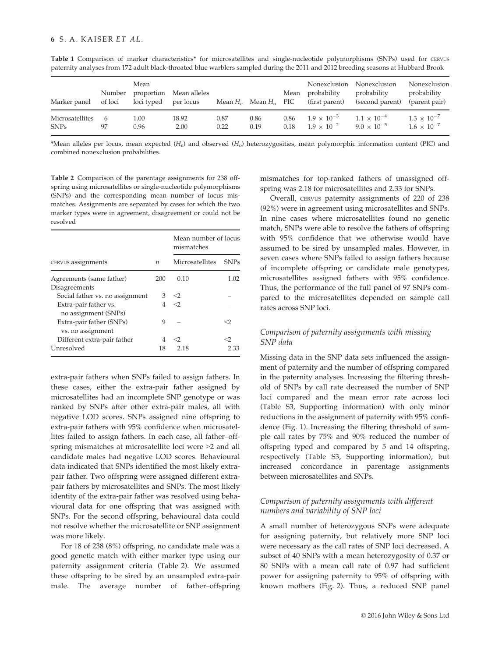| Marker panel    | Number<br>of loci | Mean<br>loci typed per locus | proportion Mean alleles |      | Mean $H_e$ Mean $H_o$ PIC |      | Nonexclusion<br>Mean probability<br>(first parent) | Nonexclusion<br>probability<br>(second parent) | Nonexclusion<br>probability<br>(parent pair) |
|-----------------|-------------------|------------------------------|-------------------------|------|---------------------------|------|----------------------------------------------------|------------------------------------------------|----------------------------------------------|
| Microsatellites | - 6               | 1.00                         | 18.92                   | 0.87 | 0.86                      | 0.86 | $1.9 \times 10^{-3}$                               | $1.1 \times 10^{-4}$                           | $1.3 \times 10^{-7}$                         |
| <b>SNPs</b>     | 97                | 0.96                         | 2.00                    | 0.22 | 0.19                      | 0.18 | $1.9 \times 10^{-2}$                               | $9.0 \times 10^{-5}$                           | $1.6 \times 10^{-7}$                         |

Table 1 Comparison of marker characteristics\* for microsatellites and single-nucleotide polymorphisms (SNPs) used for CERVUS paternity analyses from 172 adult black-throated blue warblers sampled during the 2011 and 2012 breeding seasons at Hubbard Brook

\*Mean alleles per locus, mean expected  $(H<sub>e</sub>)$  and observed  $(H<sub>o</sub>)$  heterozygosities, mean polymorphic information content (PIC) and combined nonexclusion probabilities.

Table 2 Comparison of the parentage assignments for 238 offspring using microsatellites or single-nucleotide polymorphisms (SNPs) and the corresponding mean number of locus mismatches. Assignments are separated by cases for which the two marker types were in agreement, disagreement or could not be resolved

|                                               |     | Mean number of locus<br>mismatches |             |  |
|-----------------------------------------------|-----|------------------------------------|-------------|--|
| CERVUS assignments                            |     | Microsatellites                    | <b>SNPs</b> |  |
| Agreements (same father)                      | 200 | 0.10                               | 1.02        |  |
| Disagreements                                 |     |                                    |             |  |
| Social father vs. no assignment               | 3   | $\mathcal{O}$                      |             |  |
| Extra-pair father vs.<br>no assignment (SNPs) | 4   | $\langle$                          |             |  |
| Extra-pair father (SNPs)<br>vs. no assignment | 9   |                                    | ⊂′          |  |
| Different extra-pair father                   | 4   | <2                                 |             |  |
| Unresolved                                    | 18  | 2.18                               | 2.33        |  |

extra-pair fathers when SNPs failed to assign fathers. In these cases, either the extra-pair father assigned by microsatellites had an incomplete SNP genotype or was ranked by SNPs after other extra-pair males, all with negative LOD scores. SNPs assigned nine offspring to extra-pair fathers with 95% confidence when microsatellites failed to assign fathers. In each case, all father–offspring mismatches at microsatellite loci were >2 and all candidate males had negative LOD scores. Behavioural data indicated that SNPs identified the most likely extrapair father. Two offspring were assigned different extrapair fathers by microsatellites and SNPs. The most likely identity of the extra-pair father was resolved using behavioural data for one offspring that was assigned with SNPs. For the second offspring, behavioural data could not resolve whether the microsatellite or SNP assignment was more likely.

For 18 of 238 (8%) offspring, no candidate male was a good genetic match with either marker type using our paternity assignment criteria (Table 2). We assumed these offspring to be sired by an unsampled extra-pair male. The average number of father–offspring mismatches for top-ranked fathers of unassigned offspring was 2.18 for microsatellites and 2.33 for SNPs.

Overall, CERVUS paternity assignments of 220 of 238 (92%) were in agreement using microsatellites and SNPs. In nine cases where microsatellites found no genetic match, SNPs were able to resolve the fathers of offspring with 95% confidence that we otherwise would have assumed to be sired by unsampled males. However, in seven cases where SNPs failed to assign fathers because of incomplete offspring or candidate male genotypes, microsatellites assigned fathers with 95% confidence. Thus, the performance of the full panel of 97 SNPs compared to the microsatellites depended on sample call rates across SNP loci.

# Comparison of paternity assignments with missing SNP data

Missing data in the SNP data sets influenced the assignment of paternity and the number of offspring compared in the paternity analyses. Increasing the filtering threshold of SNPs by call rate decreased the number of SNP loci compared and the mean error rate across loci (Table S3, Supporting information) with only minor reductions in the assignment of paternity with 95% confidence (Fig. 1). Increasing the filtering threshold of sample call rates by 75% and 90% reduced the number of offspring typed and compared by 5 and 14 offspring, respectively (Table S3, Supporting information), but increased concordance in parentage assignments between microsatellites and SNPs.

# Comparison of paternity assignments with different numbers and variability of SNP loci

A small number of heterozygous SNPs were adequate for assigning paternity, but relatively more SNP loci were necessary as the call rates of SNP loci decreased. A subset of 40 SNPs with a mean heterozygosity of 0.37 or 80 SNPs with a mean call rate of 0.97 had sufficient power for assigning paternity to 95% of offspring with known mothers (Fig. 2). Thus, a reduced SNP panel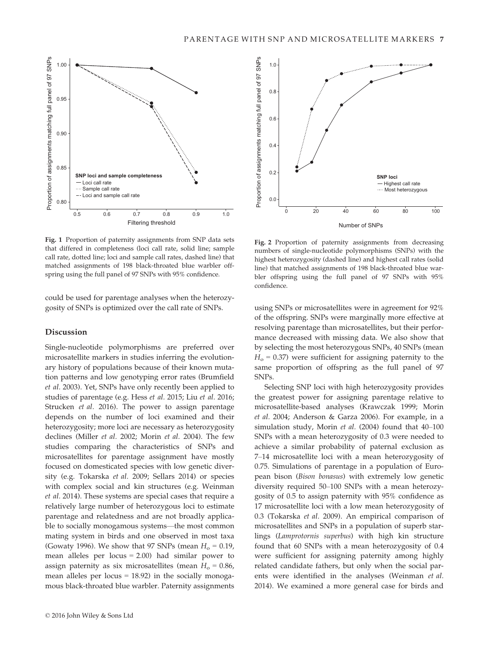

Fig. 1 Proportion of paternity assignments from SNP data sets that differed in completeness (loci call rate, solid line; sample call rate, dotted line; loci and sample call rates, dashed line) that matched assignments of 198 black-throated blue warbler offspring using the full panel of 97 SNPs with 95% confidence.

could be used for parentage analyses when the heterozygosity of SNPs is optimized over the call rate of SNPs.

#### Discussion

Single-nucleotide polymorphisms are preferred over microsatellite markers in studies inferring the evolutionary history of populations because of their known mutation patterns and low genotyping error rates (Brumfield et al. 2003). Yet, SNPs have only recently been applied to studies of parentage (e.g. Hess et al. 2015; Liu et al. 2016; Strucken et al. 2016). The power to assign parentage depends on the number of loci examined and their heterozygosity; more loci are necessary as heterozygosity declines (Miller et al. 2002; Morin et al. 2004). The few studies comparing the characteristics of SNPs and microsatellites for parentage assignment have mostly focused on domesticated species with low genetic diversity (e.g. Tokarska et al. 2009; Sellars 2014) or species with complex social and kin structures (e.g. Weinman et al. 2014). These systems are special cases that require a relatively large number of heterozygous loci to estimate parentage and relatedness and are not broadly applicable to socially monogamous systems—the most common mating system in birds and one observed in most taxa (Gowaty 1996). We show that 97 SNPs (mean  $H_0 = 0.19$ , mean alleles per locus = 2.00) had similar power to assign paternity as six microsatellites (mean  $H_0 = 0.86$ , mean alleles per locus = 18.92) in the socially monogamous black-throated blue warbler. Paternity assignments



Fig. 2 Proportion of paternity assignments from decreasing numbers of single-nucleotide polymorphisms (SNPs) with the highest heterozygosity (dashed line) and highest call rates (solid line) that matched assignments of 198 black-throated blue warbler offspring using the full panel of 97 SNPs with 95% confidence.

using SNPs or microsatellites were in agreement for 92% of the offspring. SNPs were marginally more effective at resolving parentage than microsatellites, but their performance decreased with missing data. We also show that by selecting the most heterozygous SNPs, 40 SNPs (mean  $H<sub>o</sub> = 0.37$ ) were sufficient for assigning paternity to the same proportion of offspring as the full panel of 97 SNPs.

Selecting SNP loci with high heterozygosity provides the greatest power for assigning parentage relative to microsatellite-based analyses (Krawczak 1999; Morin et al. 2004; Anderson & Garza 2006). For example, in a simulation study, Morin et al. (2004) found that 40–100 SNPs with a mean heterozygosity of 0.3 were needed to achieve a similar probability of paternal exclusion as 7–14 microsatellite loci with a mean heterozygosity of 0.75. Simulations of parentage in a population of European bison (Bison bonasus) with extremely low genetic diversity required 50–100 SNPs with a mean heterozygosity of 0.5 to assign paternity with 95% confidence as 17 microsatellite loci with a low mean heterozygosity of 0.3 (Tokarska et al. 2009). An empirical comparison of microsatellites and SNPs in a population of superb starlings (Lamprotornis superbus) with high kin structure found that 60 SNPs with a mean heterozygosity of 0.4 were sufficient for assigning paternity among highly related candidate fathers, but only when the social parents were identified in the analyses (Weinman et al. 2014). We examined a more general case for birds and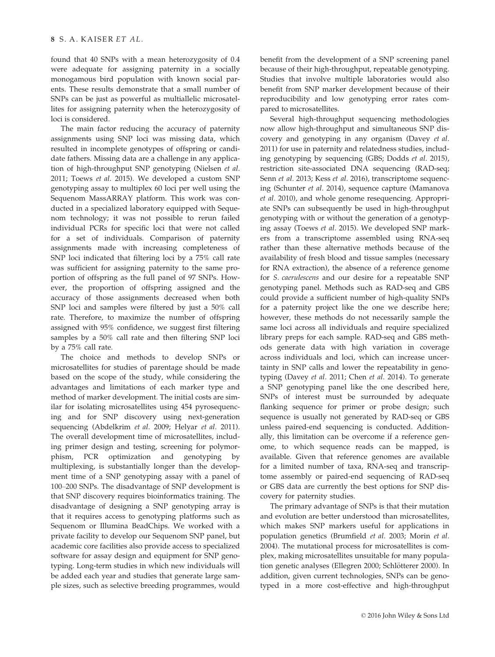found that 40 SNPs with a mean heterozygosity of 0.4 were adequate for assigning paternity in a socially monogamous bird population with known social parents. These results demonstrate that a small number of SNPs can be just as powerful as multiallelic microsatellites for assigning paternity when the heterozygosity of loci is considered.

The main factor reducing the accuracy of paternity assignments using SNP loci was missing data, which resulted in incomplete genotypes of offspring or candidate fathers. Missing data are a challenge in any application of high-throughput SNP genotyping (Nielsen et al. 2011; Toews et al. 2015). We developed a custom SNP genotyping assay to multiplex 60 loci per well using the Sequenom MassARRAY platform. This work was conducted in a specialized laboratory equipped with Sequenom technology; it was not possible to rerun failed individual PCRs for specific loci that were not called for a set of individuals. Comparison of paternity assignments made with increasing completeness of SNP loci indicated that filtering loci by a 75% call rate was sufficient for assigning paternity to the same proportion of offspring as the full panel of 97 SNPs. However, the proportion of offspring assigned and the accuracy of those assignments decreased when both SNP loci and samples were filtered by just a 50% call rate. Therefore, to maximize the number of offspring assigned with 95% confidence, we suggest first filtering samples by a 50% call rate and then filtering SNP loci by a 75% call rate.

The choice and methods to develop SNPs or microsatellites for studies of parentage should be made based on the scope of the study, while considering the advantages and limitations of each marker type and method of marker development. The initial costs are similar for isolating microsatellites using 454 pyrosequencing and for SNP discovery using next-generation sequencing (Abdelkrim et al. 2009; Helyar et al. 2011). The overall development time of microsatellites, including primer design and testing, screening for polymorphism, PCR optimization and genotyping by multiplexing, is substantially longer than the development time of a SNP genotyping assay with a panel of 100–200 SNPs. The disadvantage of SNP development is that SNP discovery requires bioinformatics training. The disadvantage of designing a SNP genotyping array is that it requires access to genotyping platforms such as Sequenom or Illumina BeadChips. We worked with a private facility to develop our Sequenom SNP panel, but academic core facilities also provide access to specialized software for assay design and equipment for SNP genotyping. Long-term studies in which new individuals will be added each year and studies that generate large sample sizes, such as selective breeding programmes, would benefit from the development of a SNP screening panel because of their high-throughput, repeatable genotyping. Studies that involve multiple laboratories would also benefit from SNP marker development because of their reproducibility and low genotyping error rates compared to microsatellites.

Several high-throughput sequencing methodologies now allow high-throughput and simultaneous SNP discovery and genotyping in any organism (Davey et al. 2011) for use in paternity and relatedness studies, including genotyping by sequencing (GBS; Dodds et al. 2015), restriction site-associated DNA sequencing (RAD-seq; Senn et al. 2013; Kess et al. 2016), transcriptome sequencing (Schunter et al. 2014), sequence capture (Mamanova et al. 2010), and whole genome resequencing. Appropriate SNPs can subsequently be used in high-throughput genotyping with or without the generation of a genotyping assay (Toews et al. 2015). We developed SNP markers from a transcriptome assembled using RNA-seq rather than these alternative methods because of the availability of fresh blood and tissue samples (necessary for RNA extraction), the absence of a reference genome for S. caerulescens and our desire for a repeatable SNP genotyping panel. Methods such as RAD-seq and GBS could provide a sufficient number of high-quality SNPs for a paternity project like the one we describe here; however, these methods do not necessarily sample the same loci across all individuals and require specialized library preps for each sample. RAD-seq and GBS methods generate data with high variation in coverage across individuals and loci, which can increase uncertainty in SNP calls and lower the repeatability in genotyping (Davey et al. 2011; Chen et al. 2014). To generate a SNP genotyping panel like the one described here, SNPs of interest must be surrounded by adequate flanking sequence for primer or probe design; such sequence is usually not generated by RAD-seq or GBS unless paired-end sequencing is conducted. Additionally, this limitation can be overcome if a reference genome, to which sequence reads can be mapped, is available. Given that reference genomes are available for a limited number of taxa, RNA-seq and transcriptome assembly or paired-end sequencing of RAD-seq or GBS data are currently the best options for SNP discovery for paternity studies.

The primary advantage of SNPs is that their mutation and evolution are better understood than microsatellites, which makes SNP markers useful for applications in population genetics (Brumfield et al. 2003; Morin et al. 2004). The mutational process for microsatellites is complex, making microsatellites unsuitable for many population genetic analyses (Ellegren 2000; Schlötterer 2000). In addition, given current technologies, SNPs can be genotyped in a more cost-effective and high-throughput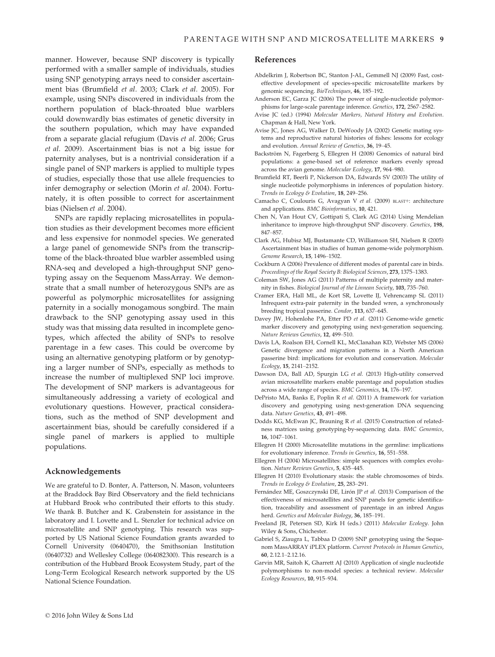manner. However, because SNP discovery is typically performed with a smaller sample of individuals, studies using SNP genotyping arrays need to consider ascertainment bias (Brumfield et al. 2003; Clark et al. 2005). For example, using SNPs discovered in individuals from the northern population of black-throated blue warblers could downwardly bias estimates of genetic diversity in the southern population, which may have expanded from a separate glacial refugium (Davis et al. 2006; Grus et al. 2009). Ascertainment bias is not a big issue for paternity analyses, but is a nontrivial consideration if a single panel of SNP markers is applied to multiple types of studies, especially those that use allele frequencies to infer demography or selection (Morin et al. 2004). Fortunately, it is often possible to correct for ascertainment bias (Nielsen et al. 2004).

SNPs are rapidly replacing microsatellites in population studies as their development becomes more efficient and less expensive for nonmodel species. We generated a large panel of genomewide SNPs from the transcriptome of the black-throated blue warbler assembled using RNA-seq and developed a high-throughput SNP genotyping assay on the Sequenom MassArray. We demonstrate that a small number of heterozygous SNPs are as powerful as polymorphic microsatellites for assigning paternity in a socially monogamous songbird. The main drawback to the SNP genotyping assay used in this study was that missing data resulted in incomplete genotypes, which affected the ability of SNPs to resolve parentage in a few cases. This could be overcome by using an alternative genotyping platform or by genotyping a larger number of SNPs, especially as methods to increase the number of multiplexed SNP loci improve. The development of SNP markers is advantageous for simultaneously addressing a variety of ecological and evolutionary questions. However, practical considerations, such as the method of SNP development and ascertainment bias, should be carefully considered if a single panel of markers is applied to multiple populations.

#### Acknowledgements

We are grateful to D. Bonter, A. Patterson, N. Mason, volunteers at the Braddock Bay Bird Observatory and the field technicians at Hubbard Brook who contributed their efforts to this study. We thank B. Butcher and K. Grabenstein for assistance in the laboratory and I. Lovette and L. Stenzler for technical advice on microsatellite and SNP genotyping. This research was supported by US National Science Foundation grants awarded to Cornell University (0640470), the Smithsonian Institution (0640732) and Wellesley College (064082300). This research is a contribution of the Hubbard Brook Ecosystem Study, part of the Long-Term Ecological Research network supported by the US National Science Foundation.

#### References

- Abdelkrim J, Robertson BC, Stanton J-AL, Gemmell NJ (2009) Fast, costeffective development of species-specific microsatellite markers by genomic sequencing. BioTechniques, 46, 185–192.
- Anderson EC, Garza JC (2006) The power of single-nucleotide polymorphisms for large-scale parentage inference. Genetics, 172, 2567–2582.
- Avise JC (ed.) (1994) Molecular Markers, Natural History and Evolution. Chapman & Hall, New York.
- Avise JC, Jones AG, Walker D, DeWoody JA (2002) Genetic mating systems and reproductive natural histories of fishes: lessons for ecology and evolution. Annual Review of Genetics, 36, 19–45.
- Backström N, Fagerberg S, Ellegren H (2008) Genomics of natural bird populations: a gene-based set of reference markers evenly spread across the avian genome. Molecular Ecology, 17, 964–980.
- Brumfield RT, Beerli P, Nickerson DA, Edwards SV (2003) The utility of single nucleotide polymorphisms in inferences of population history. Trends in Ecology & Evolution, 18, 249–256.
- Camacho C, Coulouris G, Avagyan V et al. (2009) BLAST+: architecture and applications. BMC Bioinformatics, 10, 421.
- Chen N, Van Hout CV, Gottipati S, Clark AG (2014) Using Mendelian inheritance to improve high-throughput SNP discovery. Genetics, 198, 847–857.
- Clark AG, Hubisz MJ, Bustamante CD, Williamson SH, Nielsen R (2005) Ascertainment bias in studies of human genome-wide polymorphism. Genome Research, 15, 1496–1502.
- Cockburn A (2006) Prevalence of different modes of parental care in birds. Proceedings of the Royal Society B: Biological Sciences, 273, 1375–1383.
- Coleman SW, Jones AG (2011) Patterns of multiple paternity and maternity in fishes. Biological Journal of the Linnean Society, 103, 735–760.
- Cramer ERA, Hall ML, de Kort SR, Lovette IJ, Vehrencamp SL (2011) Infrequent extra-pair paternity in the banded wren, a synchronously breeding tropical passerine. Condor, 113, 637–645.
- Davey JW, Hohenlohe PA, Etter PD et al. (2011) Genome-wide genetic marker discovery and genotyping using next-generation sequencing. Nature Reviews Genetics, 12, 499–510.
- Davis LA, Roalson EH, Cornell KL, McClanahan KD, Webster MS (2006) Genetic divergence and migration patterns in a North American passerine bird: implications for evolution and conservation. Molecular Ecology, 15, 2141–2152.
- Dawson DA, Ball AD, Spurgin LG et al. (2013) High-utility conserved avian microsatellite markers enable parentage and population studies across a wide range of species. BMC Genomics, 14, 176–197.
- DePristo MA, Banks E, Poplin R et al. (2011) A framework for variation discovery and genotyping using next-generation DNA sequencing data. Nature Genetics, 43, 491–498.
- Dodds KG, McEwan JC, Brauning R et al. (2015) Construction of relatedness matrices using genotyping-by-sequencing data. BMC Genomics, 16, 1047–1061.
- Ellegren H (2000) Microsatellite mutations in the germline: implications for evolutionary inference. Trends in Genetics, 16, 551–558.
- Ellegren H (2004) Microsatellites: simple sequences with complex evolution. Nature Reviews Genetics, 5, 435–445.
- Ellegren H (2010) Evolutionary stasis: the stable chromosomes of birds. Trends in Ecology & Evolution, 25, 283–291.
- Fernández ME, Goszczynski DE, Lirón JP et al. (2013) Comparison of the effectiveness of microsatellites and SNP panels for genetic identification, traceability and assessment of parentage in an inbred Angus herd. Genetics and Molecular Biology, 36, 185–191.
- Freeland JR, Petersen SD, Kirk H (eds.) (2011) Molecular Ecology. John Wiley & Sons, Chichester.
- Gabriel S, Ziaugra L, Tabbaa D (2009) SNP genotyping using the Sequenom MassARRAY iPLEX platform. Current Protocols in Human Genetics, 60, 2.12.1–2.12.16.
- Garvin MR, Saitoh K, Gharrett AJ (2010) Application of single nucleotide polymorphisms to non-model species: a technical review. Molecular Ecology Resources, 10, 915–934.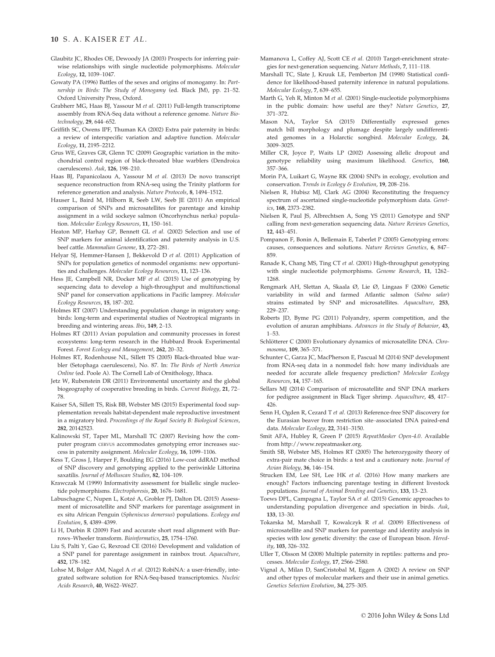#### 10 S. A. KAISER ET AL.

- Glaubitz JC, Rhodes OE, Dewoody JA (2003) Prospects for inferring pairwise relationships with single nucleotide polymorphisms. Molecular Ecology, 12, 1039–1047.
- Gowaty PA (1996) Battles of the sexes and origins of monogamy. In: Partnership in Birds: The Study of Monogamy (ed. Black JM), pp. 21–52. Oxford University Press, Oxford.
- Grabherr MG, Haas BJ, Yassour M et al. (2011) Full-length transcriptome assembly from RNA-Seq data without a reference genome. Nature Biotechnology, 29, 644–652.
- Griffith SC, Owens IPF, Thuman KA (2002) Extra pair paternity in birds: a review of interspecific variation and adaptive function. Molecular Ecology, 11, 2195–2212.
- Grus WE, Graves GR, Glenn TC (2009) Geographic variation in the mitochondrial control region of black-throated blue warblers (Dendroica caerulescens). Auk, 126, 198–210.
- Haas BJ, Papanicolaou A, Yassour M et al. (2013) De novo transcript sequence reconstruction from RNA-seq using the Trinity platform for reference generation and analysis. Nature Protocols, 8, 1494–1512.
- Hauser L, Baird M, Hilborn R, Seeb LW, Seeb JE (2011) An empirical comparison of SNPs and microsatellites for parentage and kinship assignment in a wild sockeye salmon (Oncorhynchus nerka) population. Molecular Ecology Resources, 11, 150-161.
- Heaton MP, Harhay GP, Bennett GL et al. (2002) Selection and use of SNP markers for animal identification and paternity analysis in U.S. beef cattle. Mammalian Genome, 13, 272–281.
- Helyar SJ, Hemmer-Hansen J, Bekkevold D et al. (2011) Application of SNPs for population genetics of nonmodel organisms: new opportunities and challenges. Molecular Ecology Resources, 11, 123–136.
- Hess JE, Campbell NR, Docker MF et al. (2015) Use of genotyping by sequencing data to develop a high-throughput and multifunctional SNP panel for conservation applications in Pacific lamprey. Molecular Ecology Resources, 15, 187–202.
- Holmes RT (2007) Understanding population change in migratory songbirds: long-term and experimental studies of Neotropical migrants in breeding and wintering areas. Ibis, 149, 2–13.
- Holmes RT (2011) Avian population and community processes in forest ecosystems: long-term research in the Hubbard Brook Experimental Forest. Forest Ecology and Management, 262, 20–32.
- Holmes RT, Rodenhouse NL, Sillett TS (2005) Black-throated blue warbler (Setophaga caerulescens), No. 87. In: The Birds of North America Online (ed. Poole A). The Cornell Lab of Ornithology, Ithaca.
- Jetz W, Rubenstein DR (2011) Environmental uncertainty and the global biogeography of cooperative breeding in birds. Current Biology, 21, 72– 78.
- Kaiser SA, Sillett TS, Risk BB, Webster MS (2015) Experimental food supplementation reveals habitat-dependent male reproductive investment in a migratory bird. Proceedings of the Royal Society B: Biological Sciences, 282, 20142523.
- Kalinowski ST, Taper ML, Marshall TC (2007) Revising how the computer program CERVUS accommodates genotyping error increases success in paternity assignment. Molecular Ecology, 16, 1099–1106.
- Kess T, Gross J, Harper F, Boulding EG (2016) Low-cost ddRAD method of SNP discovery and genotyping applied to the periwinkle Littorina saxatilis. Journal of Molluscan Studies, 82, 104-109.
- Krawczak M (1999) Informativity assessment for biallelic single nucleotide polymorphisms. Electrophoresis, 20, 1676–1681.
- Labuschagne C, Nupen L, Kotze A, Grobler PJ, Dalton DL (2015) Assessment of microsatellite and SNP markers for parentage assignment in ex situ African Penguin (Spheniscus demersus) populations. Ecology and Evolution, 5, 4389–4399.
- Li H, Durbin R (2009) Fast and accurate short read alignment with Burrows–Wheeler transform. Bioinformatics, 25, 1754–1760.
- Liu S, Palti Y, Gao G, Rexroad CE (2016) Development and validation of a SNP panel for parentage assignment in rainbox trout. Aquaculture, 452, 178–182.
- Lohse M, Bolger AM, Nagel A et al. (2012) RobiNA: a user-friendly, integrated software solution for RNA-Seq-based transcriptomics. Nucleic Acids Research, 40, W622–W627.
- Mamanova L, Coffey AJ, Scott CE et al. (2010) Target-enrichment strategies for next-generation sequencing. Nature Methods, 7, 111–118.
- Marshall TC, Slate J, Kruuk LE, Pemberton JM (1998) Statistical confidence for likelihood-based paternity inference in natural populations. Molecular Ecology, 7, 639–655.
- Marth G, Yeh R, Minton M et al. (2001) Single-nucleotide polymorphisms in the public domain: how useful are they? Nature Genetics, 27, 371–372.
- Mason NA, Taylor SA (2015) Differentially expressed genes match bill morphology and plumage despite largely undifferentiated genomes in a Holarctic songbird. Molecular Ecology, 24, 3009–3025.
- Miller CR, Joyce P, Waits LP (2002) Assessing allelic dropout and genotype reliability using maximum likelihood. Genetics, 160, 357–366.
- Morin PA, Luikart G, Wayne RK (2004) SNPs in ecology, evolution and conservation. Trends in Ecology & Evolution, 19, 208–216.
- Nielsen R, Hubisz MJ, Clark AG (2004) Reconstituting the frequency spectrum of ascertained single-nucleotide polymorphism data. Genetics, 168, 2373–2382.
- Nielsen R, Paul JS, Albrechtsen A, Song YS (2011) Genotype and SNP calling from next-generation sequencing data. Nature Reviews Genetics, 12, 443–451.
- Pompanon F, Bonin A, Bellemain E, Taberlet P (2005) Genotyping errors: causes, consequences and solutions. Nature Reviews Genetics, 6, 847– 859.
- Ranade K, Chang MS, Ting CT et al. (2001) High-throughput genotyping with single nucleotide polymorphisms. Genome Research, 11, 1262– 1268.
- Rengmark AH, Slettan A, Skaala Ø, Lie Ø, Lingaas F (2006) Genetic variability in wild and farmed Atlantic salmon (Salmo salar) strains estimated by SNP and microsatellites. Aquaculture, 253, 229–237.
- Roberts JD, Byme PG (2011) Polyandry, sperm competition, and the evolution of anuran amphibians. Advances in the Study of Behavior, 43, 1–53.
- Schlötterer C (2000) Evolutionary dynamics of microsatellite DNA. Chromosoma, 109, 365–371.
- Schunter C, Garza JC, MacPherson E, Pascual M (2014) SNP development from RNA-seq data in a nonmodel fish: how many individuals are needed for accurate allele frequency prediction? Molecular Ecology Resources, 14, 157–165.
- Sellars MJ (2014) Comparison of microsatellite and SNP DNA markers for pedigree assignment in Black Tiger shrimp. Aquaculture, 45, 417– 426.
- Senn H, Ogden R, Cezard T et al. (2013) Reference-free SNP discovery for the Eurasian beaver from restriction site–associated DNA paired-end data. Molecular Ecology, 22, 3141–3150.
- Smit AFA, Hubley R, Green P (2015) RepeatMasker Open-4.0. Available from<http://www.repeatmasker.org>.
- Smith SB, Webster MS, Holmes RT (2005) The heterozygosity theory of extra-pair mate choice in birds: a test and a cautionary note. Journal of Avian Biology, 36, 146–154.
- Strucken EM, Lee SH, Lee HK et al. (2016) How many markers are enough? Factors influencing parentage testing in different livestock populations. Journal of Animal Breeding and Genetics, 133, 13–23.
- Toews DPL, Campagna L, Taylor SA et al. (2015) Genomic approaches to understanding population divergence and speciation in birds. Auk, 133, 13–30.
- Tokarska M, Marshall T, Kowalczyk R et al. (2009) Effectiveness of microsatellite and SNP markers for parentage and identity analysis in species with low genetic diversity: the case of European bison. Heredity, 103, 326–332.
- Uller T, Olsson M (2008) Multiple paternity in reptiles: patterns and processes. Molecular Ecology, 17, 2566–2580.
- Vignal A, Milan D, SanCristobal M, Eggen A (2002) A review on SNP and other types of molecular markers and their use in animal genetics. Genetics Selection Evolution, 34, 275–305.